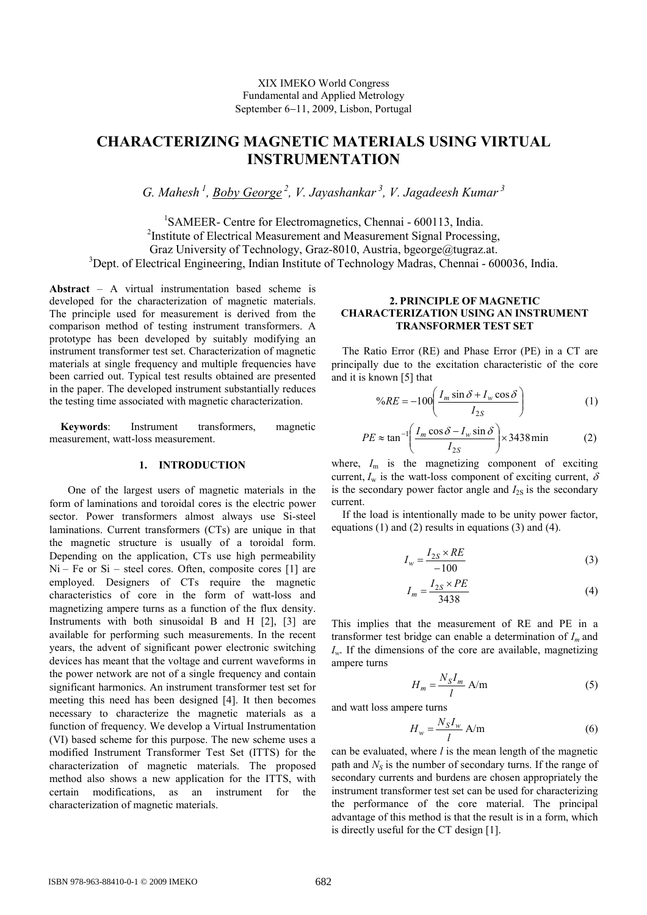# **CHARACTERIZING MAGNETIC MATERIALS USING VIRTUAL INSTRUMENTATION**

*G. Mahesh<sup>1</sup>, Boby George<sup>2</sup>, V. Jayashankar<sup>3</sup>, V. Jagadeesh Kumar<sup>3</sup>*

<sup>1</sup>SAMEER- Centre for Electromagnetics, Chennai - 600113, India. <sup>2</sup>Institute of Electrical Measurement and Measurement Signal Processing, Graz University of Technology, Graz-8010, Austria, bgeorge@tugraz.at. <sup>3</sup>Dept. of Electrical Engineering, Indian Institute of Technology Madras, Chennai - 600036, India.

**Abstract** – A virtual instrumentation based scheme is developed for the characterization of magnetic materials. The principle used for measurement is derived from the comparison method of testing instrument transformers. A prototype has been developed by suitably modifying an instrument transformer test set. Characterization of magnetic materials at single frequency and multiple frequencies have been carried out. Typical test results obtained are presented in the paper. The developed instrument substantially reduces the testing time associated with magnetic characterization.

**Keywords**: Instrument transformers, magnetic measurement, watt-loss measurement.

#### **1. INTRODUCTION**

One of the largest users of magnetic materials in the form of laminations and toroidal cores is the electric power sector. Power transformers almost always use Si-steel laminations. Current transformers (CTs) are unique in that the magnetic structure is usually of a toroidal form. Depending on the application, CTs use high permeability  $Ni - Fe$  or  $Si - steel$  cores. Often, composite cores [1] are employed. Designers of CTs require the magnetic characteristics of core in the form of watt-loss and magnetizing ampere turns as a function of the flux density. Instruments with both sinusoidal B and H [2], [3] are available for performing such measurements. In the recent years, the advent of significant power electronic switching devices has meant that the voltage and current waveforms in the power network are not of a single frequency and contain significant harmonics. An instrument transformer test set for meeting this need has been designed [4]. It then becomes necessary to characterize the magnetic materials as a function of frequency. We develop a Virtual Instrumentation (VI) based scheme for this purpose. The new scheme uses a modified Instrument Transformer Test Set (ITTS) for the characterization of magnetic materials. The proposed method also shows a new application for the ITTS, with certain modifications, as an instrument for the characterization of magnetic materials.

## **2. PRINCIPLE OF MAGNETIC CHARACTERIZATION USING AN INSTRUMENT TRANSFORMER TEST SET**

 The Ratio Error (RE) and Phase Error (PE) in a CT are principally due to the excitation characteristic of the core and it is known [5] that

$$
\%RE = -100 \left( \frac{I_m \sin \delta + I_w \cos \delta}{I_{2S}} \right) \tag{1}
$$

$$
PE \approx \tan^{-1} \left( \frac{I_m \cos \delta - I_w \sin \delta}{I_{2S}} \right) \times 3438 \text{ min}
$$
 (2)

where,  $I_m$  is the magnetizing component of exciting current,  $I_w$  is the watt-loss component of exciting current,  $\delta$ is the secondary power factor angle and  $I_{2S}$  is the secondary current.

If the load is intentionally made to be unity power factor, equations (1) and (2) results in equations (3) and (4).

$$
I_w = \frac{I_{2S} \times RE}{-100} \tag{3}
$$

$$
I_m = \frac{I_{2S} \times PE}{3438} \tag{4}
$$

This implies that the measurement of RE and PE in a transformer test bridge can enable a determination of *I<sup>m</sup>* and  $I_w$ . If the dimensions of the core are available, magnetizing ampere turns

$$
H_m = \frac{N_S I_m}{l} A/m
$$
 (5)

and watt loss ampere turns

$$
H_w = \frac{N_S I_w}{l} A/m
$$
 (6)

can be evaluated, where *l* is the mean length of the magnetic path and *NS* is the number of secondary turns. If the range of secondary currents and burdens are chosen appropriately the instrument transformer test set can be used for characterizing the performance of the core material. The principal advantage of this method is that the result is in a form, which is directly useful for the CT design [1].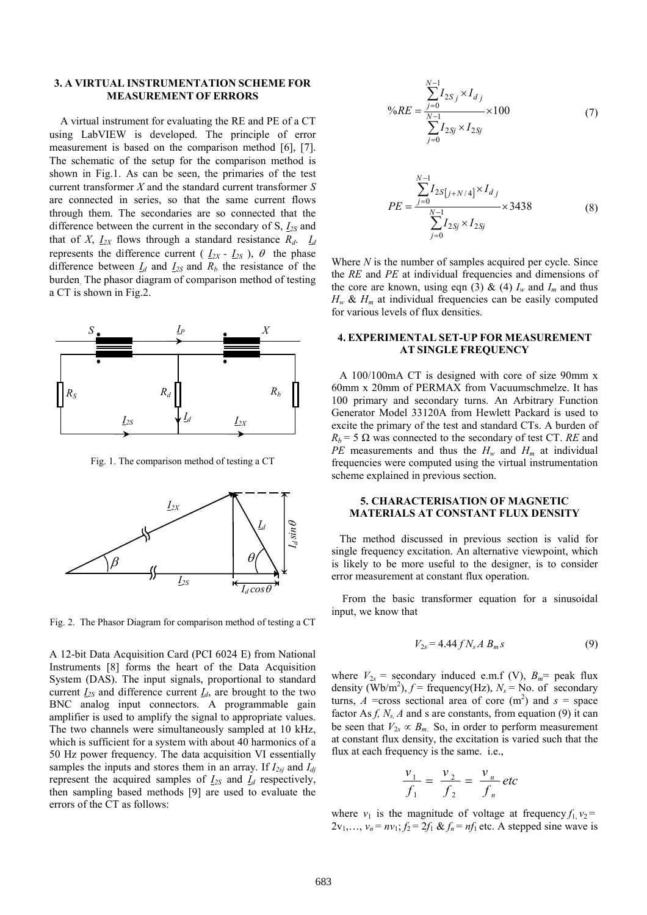## **3. A VIRTUAL INSTRUMENTATION SCHEME FOR MEASUREMENT OF ERRORS**

 A virtual instrument for evaluating the RE and PE of a CT using LabVIEW is developed. The principle of error measurement is based on the comparison method [6], [7]. The schematic of the setup for the comparison method is shown in Fig.1. As can be seen, the primaries of the test current transformer *X* and the standard current transformer *S* are connected in series, so that the same current flows through them. The secondaries are so connected that the difference between the current in the secondary of S,  $I_{2S}$  and that of *X*,  $I_{2X}$  flows through a standard resistance  $R_d$ .  $I_d$ represents the difference current ( $I_{2X} - I_{2S}$ ),  $\theta$  the phase difference between  $I_d$  and  $I_{2S}$  and  $R_b$  the resistance of the burden. The phasor diagram of comparison method of testing a CT is shown in Fig.2.



Fig. 1. The comparison method of testing a CT



Fig. 2. The Phasor Diagram for comparison method of testing a CT

A 12-bit Data Acquisition Card (PCI 6024 E) from National Instruments [8] forms the heart of the Data Acquisition System (DAS). The input signals, proportional to standard current  $I_{2S}$  and difference current  $I_{d}$ , are brought to the two BNC analog input connectors. A programmable gain amplifier is used to amplify the signal to appropriate values. The two channels were simultaneously sampled at 10 kHz, which is sufficient for a system with about 40 harmonics of a 50 Hz power frequency. The data acquisition VI essentially samples the inputs and stores them in an array. If *I2sj* and *Idj* represent the acquired samples of  $I_{2S}$  and  $I_d$  respectively, then sampling based methods [9] are used to evaluate the errors of the CT as follows:

$$
\%RE = \frac{\sum_{j=0}^{N-1} I_{2Sj} \times I_{dj}}{\sum_{j=0}^{N-1} I_{2Sj} \times I_{2Sj}} \times 100
$$
 (7)

$$
PE = \frac{\sum_{j=0}^{N-1} I_{2S[j+N/4]} \times I_{d_j}}{\sum_{j=0}^{N-1} I_{2Sj} \times I_{2Sj}} \times 3438
$$
 (8)

Where *N* is the number of samples acquired per cycle. Since the *RE* and *PE* at individual frequencies and dimensions of the core are known, using eqn (3)  $\&$  (4)  $I_w$  and  $I_m$  and thus  $H_w$  &  $H_m$  at individual frequencies can be easily computed for various levels of flux densities.

#### **4. EXPERIMENTAL SET-UP FOR MEASUREMENT AT SINGLE FREQUENCY**

 A 100/100mA CT is designed with core of size 90mm x 60mm x 20mm of PERMAX from Vacuumschmelze. It has 100 primary and secondary turns. An Arbitrary Function Generator Model 33120A from Hewlett Packard is used to excite the primary of the test and standard CTs. A burden of  $R_b$  = 5  $\Omega$  was connected to the secondary of test CT. *RE* and *PE* measurements and thus the  $H_w$  and  $H_m$  at individual frequencies were computed using the virtual instrumentation scheme explained in previous section.

#### **5. CHARACTERISATION OF MAGNETIC MATERIALS AT CONSTANT FLUX DENSITY**

 The method discussed in previous section is valid for single frequency excitation. An alternative viewpoint, which is likely to be more useful to the designer, is to consider error measurement at constant flux operation.

From the basic transformer equation for a sinusoidal input, we know that

$$
V_{2s} = 4.44 f N_s A B_m s \tag{9}
$$

where  $V_{2s}$  = secondary induced e.m.f (V),  $B_m$  = peak flux density  $(Wb/m^2)$ ,  $f = \text{frequency}(Hz)$ ,  $N_s = \text{No. of secondary}$ turns,  $A$  =cross sectional area of core (m<sup>2</sup>) and  $s$  = space factor As  $f$ ,  $N_s$ ,  $A$  and s are constants, from equation (9) it can be seen that  $V_{2s} \propto B_m$ . So, in order to perform measurement at constant flux density, the excitation is varied such that the flux at each frequency is the same. i.e.,

$$
\frac{v_1}{f_1} = \frac{v_2}{f_2} = \frac{v_n}{f_n} \text{ etc}
$$

where  $v_1$  is the magnitude of voltage at frequency  $f_1$ ,  $v_2$  =  $2v_1, \ldots, v_n = nv_1$ ;  $f_2 = 2f_1 \& f_n = nf_1$  etc. A stepped sine wave is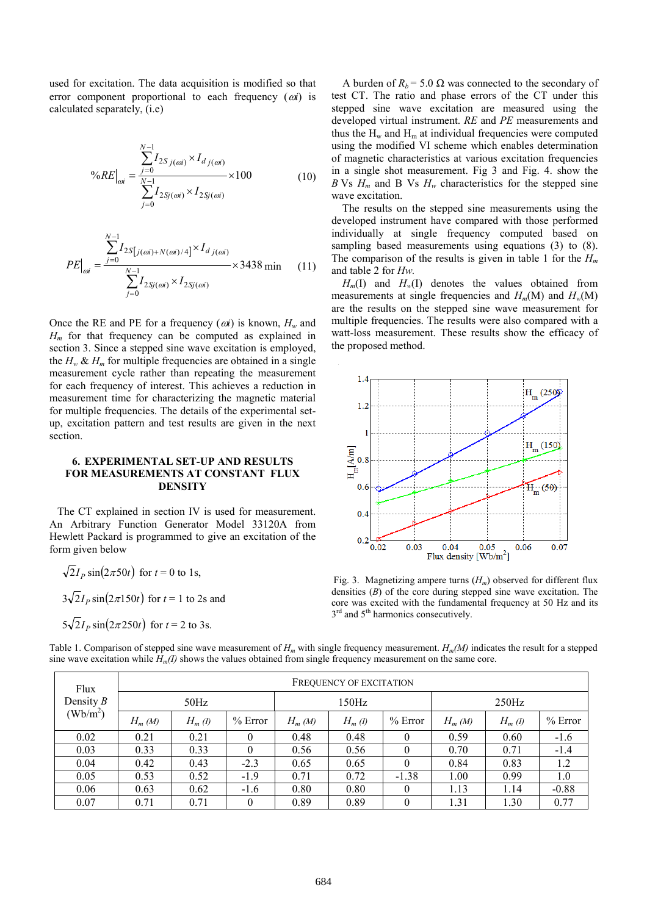used for excitation. The data acquisition is modified so that error component proportional to each frequency (ω*i*) is calculated separately, (i.e)

$$
\%RE\Big|_{oi} = \frac{\sum_{j=0}^{N-1} I_{2S_j(oi)} \times I_{d_j(oi)}}{\sum_{j=0}^{N-1} I_{2S_j(oi)} \times I_{2S_j(oi)} } \times 100
$$
\n(10)

$$
PE\Big|_{oi} = \frac{\sum_{j=0}^{N-1} I_{2S[j(oi) + N(oi)/4]} \times I_{d_j(oi)} \times 3438 \text{ min} \qquad (11)
$$

$$
\sum_{j=0}^{N-1} I_{2Sj(oi)} \times I_{2Sj(oi)}
$$

Once the RE and PE for a frequency  $(\omega i)$  is known,  $H_w$  and  $H_m$  for that frequency can be computed as explained in section 3. Since a stepped sine wave excitation is employed, the  $H_w \& H_m$  for multiple frequencies are obtained in a single measurement cycle rather than repeating the measurement for each frequency of interest. This achieves a reduction in measurement time for characterizing the magnetic material for multiple frequencies. The details of the experimental setup, excitation pattern and test results are given in the next section.

# **6. EXPERIMENTAL SET-UP AND RESULTS FOR MEASUREMENTS AT CONSTANT FLUX DENSITY**

 The CT explained in section IV is used for measurement. An Arbitrary Function Generator Model 33120A from Hewlett Packard is programmed to give an excitation of the form given below

$$
\sqrt{2I_P}\sin(2\pi 50t)
$$
 for  $t = 0$  to 1s,

 $3\sqrt{2}I_P \sin(2\pi 150t)$  for  $t = 1$  to 2s and

$$
5\sqrt{2}I_P \sin(2\pi 250t)
$$
 for  $t = 2$  to 3s.

A burden of  $R_b$  = 5.0  $\Omega$  was connected to the secondary of test CT. The ratio and phase errors of the CT under this stepped sine wave excitation are measured using the developed virtual instrument. *RE* and *PE* measurements and thus the  $H_w$  and  $H_m$  at individual frequencies were computed using the modified VI scheme which enables determination of magnetic characteristics at various excitation frequencies in a single shot measurement. Fig 3 and Fig. 4. show the *B* Vs  $H_m$  and B Vs  $H_w$  characteristics for the stepped sine wave excitation.

The results on the stepped sine measurements using the developed instrument have compared with those performed individually at single frequency computed based on sampling based measurements using equations (3) to (8). The comparison of the results is given in table 1 for the *H<sup>m</sup>* and table 2 for *Hw.*

 $H<sub>m</sub>(I)$  and  $H<sub>w</sub>(I)$  denotes the values obtained from measurements at single frequencies and  $H_m(M)$  and  $H_w(M)$ are the results on the stepped sine wave measurement for multiple frequencies. The results were also compared with a watt-loss measurement. These results show the efficacy of the proposed method.



Fig. 3. Magnetizing ampere turns (*Hm*) observed for different flux densities (*B*) of the core during stepped sine wave excitation. The core was excited with the fundamental frequency at 50 Hz and its 3<sup>rd</sup> and 5<sup>th</sup> harmonics consecutively.

| Flux<br>Density $B$<br>$(Wb/m^2)$ | <b>FREQUENCY OF EXCITATION</b> |           |           |          |           |           |          |           |           |  |
|-----------------------------------|--------------------------------|-----------|-----------|----------|-----------|-----------|----------|-----------|-----------|--|
|                                   | 50Hz                           |           |           | 150Hz    |           |           | 250Hz    |           |           |  |
|                                   | $H_m(M)$                       | $H_m$ (I) | $%$ Error | $H_m(M)$ | $H_m$ (I) | $%$ Error | $H_m(M)$ | $H_m$ (I) | $%$ Error |  |
| 0.02                              | 0.21                           | 0.21      | 0         | 0.48     | 0.48      | $\theta$  | 0.59     | 0.60      | $-1.6$    |  |
| 0.03                              | 0.33                           | 0.33      | $\theta$  | 0.56     | 0.56      | $\theta$  | 0.70     | 0.71      | $-1.4$    |  |
| 0.04                              | 0.42                           | 0.43      | $-2.3$    | 0.65     | 0.65      | $\theta$  | 0.84     | 0.83      | 1.2       |  |
| 0.05                              | 0.53                           | 0.52      | $-1.9$    | 0.71     | 0.72      | $-1.38$   | 1.00     | 0.99      | 1.0       |  |
| 0.06                              | 0.63                           | 0.62      | $-1.6$    | 0.80     | 0.80      | $\theta$  | 1.13     | 1.14      | $-0.88$   |  |
| 0.07                              | 0.71                           | 0.71      |           | 0.89     | 0.89      | $\theta$  | 1.31     | 1.30      | 0.77      |  |

Table 1. Comparison of stepped sine wave measurement of  $H_m$  with single frequency measurement.  $H_m(M)$  indicates the result for a stepped sine wave excitation while  $H_m(I)$  shows the values obtained from single frequency measurement on the same core.